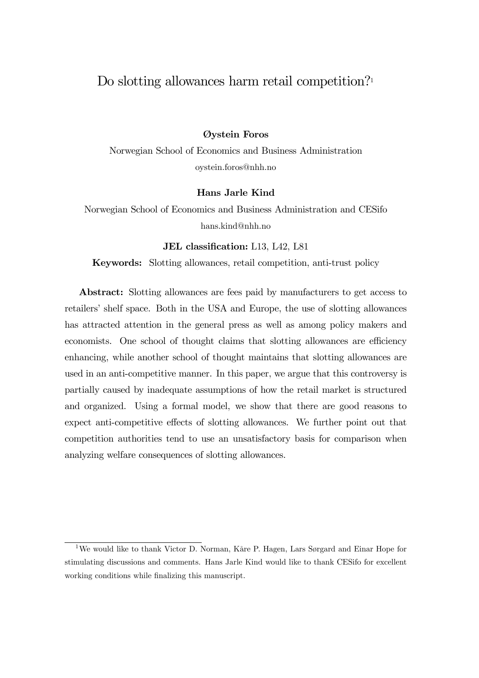## Do slotting allowances harm retail competition?<sup>1</sup>

### Øystein Foros

Norwegian School of Economics and Business Administration oystein.foros@nhh.no

#### Hans Jarle Kind

Norwegian School of Economics and Business Administration and CESifo hans.kind@nhh.no

#### JEL classification: L13, L42, L81

Keywords: Slotting allowances, retail competition, anti-trust policy

Abstract: Slotting allowances are fees paid by manufacturers to get access to retailers' shelf space. Both in the USA and Europe, the use of slotting allowances has attracted attention in the general press as well as among policy makers and economists. One school of thought claims that slotting allowances are efficiency enhancing, while another school of thought maintains that slotting allowances are used in an anti-competitive manner. In this paper, we argue that this controversy is partially caused by inadequate assumptions of how the retail market is structured and organized. Using a formal model, we show that there are good reasons to expect anti-competitive effects of slotting allowances. We further point out that competition authorities tend to use an unsatisfactory basis for comparison when analyzing welfare consequences of slotting allowances.

<sup>1</sup>We would like to thank Victor D. Norman, Kåre P. Hagen, Lars Sørgard and Einar Hope for stimulating discussions and comments. Hans Jarle Kind would like to thank CESifo for excellent working conditions while finalizing this manuscript.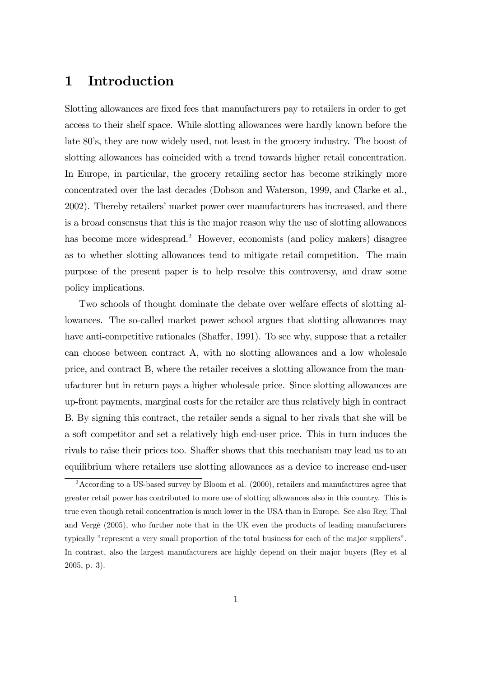# 1 Introduction

Slotting allowances are fixed fees that manufacturers pay to retailers in order to get access to their shelf space. While slotting allowances were hardly known before the late 80's, they are now widely used, not least in the grocery industry. The boost of slotting allowances has coincided with a trend towards higher retail concentration. In Europe, in particular, the grocery retailing sector has become strikingly more concentrated over the last decades (Dobson and Waterson, 1999, and Clarke et al., 2002). Thereby retailers' market power over manufacturers has increased, and there is a broad consensus that this is the major reason why the use of slotting allowances has become more widespread.<sup>2</sup> However, economists (and policy makers) disagree as to whether slotting allowances tend to mitigate retail competition. The main purpose of the present paper is to help resolve this controversy, and draw some policy implications.

Two schools of thought dominate the debate over welfare effects of slotting allowances. The so-called market power school argues that slotting allowances may have anti-competitive rationales (Shaffer, 1991). To see why, suppose that a retailer can choose between contract A, with no slotting allowances and a low wholesale price, and contract B, where the retailer receives a slotting allowance from the manufacturer but in return pays a higher wholesale price. Since slotting allowances are up-front payments, marginal costs for the retailer are thus relatively high in contract B. By signing this contract, the retailer sends a signal to her rivals that she will be a soft competitor and set a relatively high end-user price. This in turn induces the rivals to raise their prices too. Shaffer shows that this mechanism may lead us to an equilibrium where retailers use slotting allowances as a device to increase end-user

 $2$ According to a US-based survey by Bloom et al. (2000), retailers and manufactures agree that greater retail power has contributed to more use of slotting allowances also in this country. This is true even though retail concentration is much lower in the USA than in Europe. See also Rey, Thal and Vergé (2005), who further note that in the UK even the products of leading manufacturers typically "represent a very small proportion of the total business for each of the major suppliers". In contrast, also the largest manufacturers are highly depend on their major buyers (Rey et al 2005, p. 3).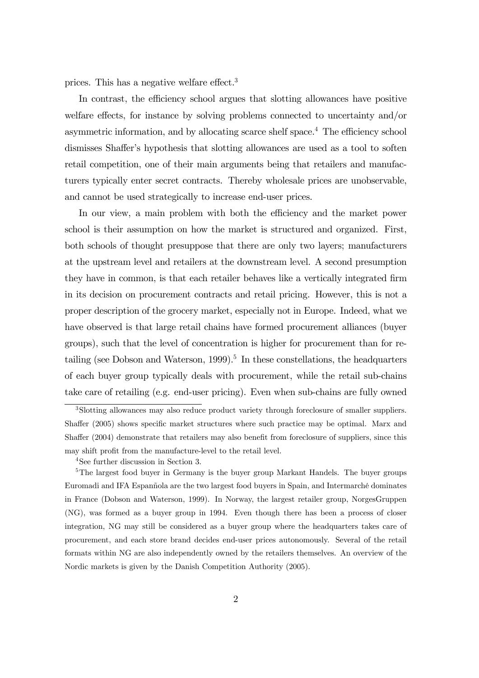prices. This has a negative welfare effect.3

In contrast, the efficiency school argues that slotting allowances have positive welfare effects, for instance by solving problems connected to uncertainty and/or asymmetric information, and by allocating scarce shelf space.4 The efficiency school dismisses Shaffer's hypothesis that slotting allowances are used as a tool to soften retail competition, one of their main arguments being that retailers and manufacturers typically enter secret contracts. Thereby wholesale prices are unobservable, and cannot be used strategically to increase end-user prices.

In our view, a main problem with both the efficiency and the market power school is their assumption on how the market is structured and organized. First, both schools of thought presuppose that there are only two layers; manufacturers at the upstream level and retailers at the downstream level. A second presumption they have in common, is that each retailer behaves like a vertically integrated firm in its decision on procurement contracts and retail pricing. However, this is not a proper description of the grocery market, especially not in Europe. Indeed, what we have observed is that large retail chains have formed procurement alliances (buyer groups), such that the level of concentration is higher for procurement than for retailing (see Dobson and Waterson, 1999).<sup>5</sup> In these constellations, the headquarters of each buyer group typically deals with procurement, while the retail sub-chains take care of retailing (e.g. end-user pricing). Even when sub-chains are fully owned

<sup>3</sup>Slotting allowances may also reduce product variety through foreclosure of smaller suppliers. Shaffer (2005) shows specific market structures where such practice may be optimal. Marx and Shaffer (2004) demonstrate that retailers may also benefit from foreclosure of suppliers, since this may shift profit from the manufacture-level to the retail level.

<sup>4</sup>See further discussion in Section 3.

<sup>&</sup>lt;sup>5</sup>The largest food buyer in Germany is the buyer group Markant Handels. The buyer groups Euromadi and IFA Espanñola are the two largest food buyers in Spain, and Intermarché dominates in France (Dobson and Waterson, 1999). In Norway, the largest retailer group, NorgesGruppen (NG), was formed as a buyer group in 1994. Even though there has been a process of closer integration, NG may still be considered as a buyer group where the headquarters takes care of procurement, and each store brand decides end-user prices autonomously. Several of the retail formats within NG are also independently owned by the retailers themselves. An overview of the Nordic markets is given by the Danish Competition Authority (2005).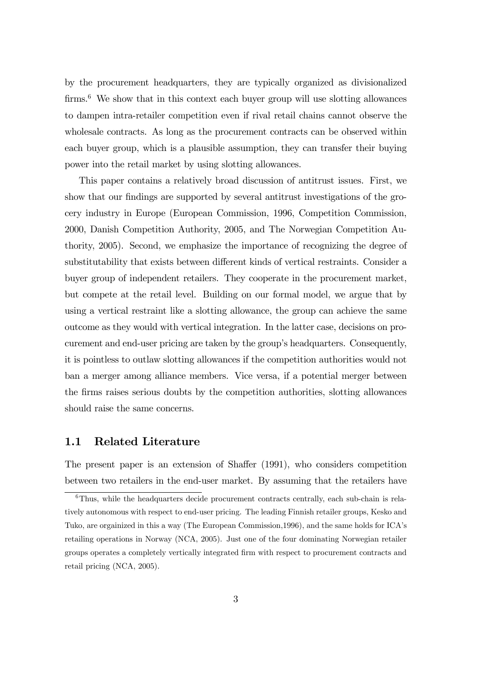by the procurement headquarters, they are typically organized as divisionalized firms.<sup>6</sup> We show that in this context each buyer group will use slotting allowances to dampen intra-retailer competition even if rival retail chains cannot observe the wholesale contracts. As long as the procurement contracts can be observed within each buyer group, which is a plausible assumption, they can transfer their buying power into the retail market by using slotting allowances.

This paper contains a relatively broad discussion of antitrust issues. First, we show that our findings are supported by several antitrust investigations of the grocery industry in Europe (European Commission, 1996, Competition Commission, 2000, Danish Competition Authority, 2005, and The Norwegian Competition Authority, 2005). Second, we emphasize the importance of recognizing the degree of substitutability that exists between different kinds of vertical restraints. Consider a buyer group of independent retailers. They cooperate in the procurement market, but compete at the retail level. Building on our formal model, we argue that by using a vertical restraint like a slotting allowance, the group can achieve the same outcome as they would with vertical integration. In the latter case, decisions on procurement and end-user pricing are taken by the group's headquarters. Consequently, it is pointless to outlaw slotting allowances if the competition authorities would not ban a merger among alliance members. Vice versa, if a potential merger between the firms raises serious doubts by the competition authorities, slotting allowances should raise the same concerns.

### 1.1 Related Literature

The present paper is an extension of Shaffer (1991), who considers competition between two retailers in the end-user market. By assuming that the retailers have

 $6$ Thus, while the headquarters decide procurement contracts centrally, each sub-chain is relatively autonomous with respect to end-user pricing. The leading Finnish retailer groups, Kesko and Tuko, are orgainized in this a way (The European Commission,1996), and the same holds for ICA's retailing operations in Norway (NCA, 2005). Just one of the four dominating Norwegian retailer groups operates a completely vertically integrated firm with respect to procurement contracts and retail pricing (NCA, 2005).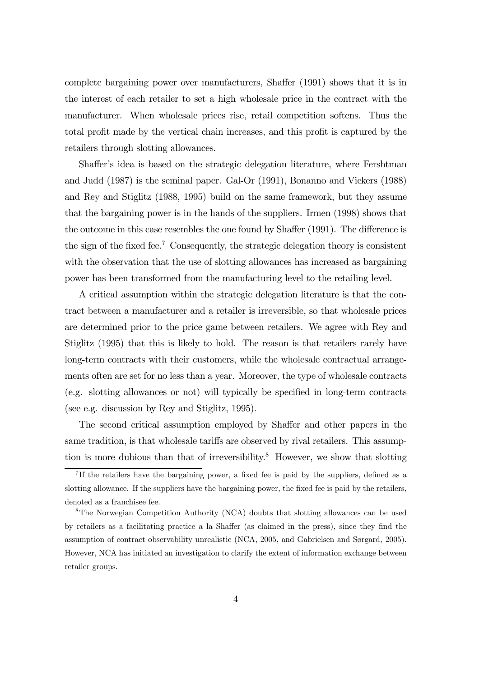complete bargaining power over manufacturers, Shaffer (1991) shows that it is in the interest of each retailer to set a high wholesale price in the contract with the manufacturer. When wholesale prices rise, retail competition softens. Thus the total profit made by the vertical chain increases, and this profit is captured by the retailers through slotting allowances.

Shaffer's idea is based on the strategic delegation literature, where Fershtman and Judd (1987) is the seminal paper. Gal-Or (1991), Bonanno and Vickers (1988) and Rey and Stiglitz (1988, 1995) build on the same framework, but they assume that the bargaining power is in the hands of the suppliers. Irmen (1998) shows that the outcome in this case resembles the one found by Shaffer (1991). The difference is the sign of the fixed fee.7 Consequently, the strategic delegation theory is consistent with the observation that the use of slotting allowances has increased as bargaining power has been transformed from the manufacturing level to the retailing level.

A critical assumption within the strategic delegation literature is that the contract between a manufacturer and a retailer is irreversible, so that wholesale prices are determined prior to the price game between retailers. We agree with Rey and Stiglitz (1995) that this is likely to hold. The reason is that retailers rarely have long-term contracts with their customers, while the wholesale contractual arrangements often are set for no less than a year. Moreover, the type of wholesale contracts (e.g. slotting allowances or not) will typically be specified in long-term contracts (see e.g. discussion by Rey and Stiglitz, 1995).

The second critical assumption employed by Shaffer and other papers in the same tradition, is that wholesale tariffs are observed by rival retailers. This assumption is more dubious than that of irreversibility.<sup>8</sup> However, we show that slotting

 $7$ If the retailers have the bargaining power, a fixed fee is paid by the suppliers, defined as a slotting allowance. If the suppliers have the bargaining power, the fixed fee is paid by the retailers, denoted as a franchisee fee.

<sup>8</sup>The Norwegian Competition Authority (NCA) doubts that slotting allowances can be used by retailers as a facilitating practice a la Shaffer (as claimed in the press), since they find the assumption of contract observability unrealistic (NCA, 2005, and Gabrielsen and Sørgard, 2005). However, NCA has initiated an investigation to clarify the extent of information exchange between retailer groups.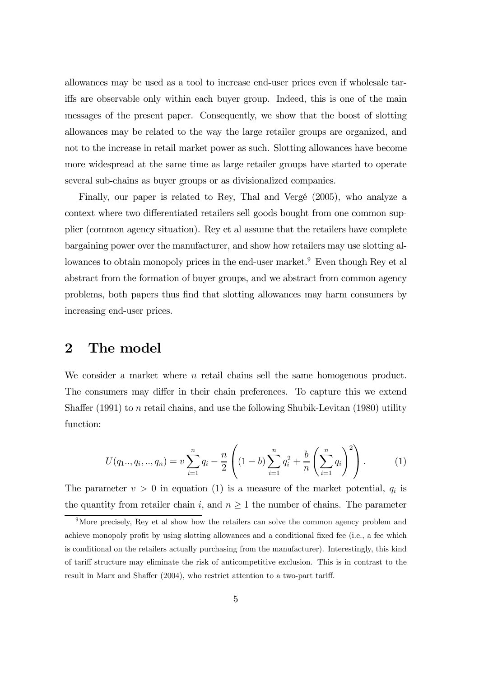allowances may be used as a tool to increase end-user prices even if wholesale tariffs are observable only within each buyer group. Indeed, this is one of the main messages of the present paper. Consequently, we show that the boost of slotting allowances may be related to the way the large retailer groups are organized, and not to the increase in retail market power as such. Slotting allowances have become more widespread at the same time as large retailer groups have started to operate several sub-chains as buyer groups or as divisionalized companies.

Finally, our paper is related to Rey, Thal and Vergé (2005), who analyze a context where two differentiated retailers sell goods bought from one common supplier (common agency situation). Rey et al assume that the retailers have complete bargaining power over the manufacturer, and show how retailers may use slotting allowances to obtain monopoly prices in the end-user market.<sup>9</sup> Even though Rey et al abstract from the formation of buyer groups, and we abstract from common agency problems, both papers thus find that slotting allowances may harm consumers by increasing end-user prices.

## 2 The model

We consider a market where  $n$  retail chains sell the same homogenous product. The consumers may differ in their chain preferences. To capture this we extend Shaffer  $(1991)$  to n retail chains, and use the following Shubik-Levitan  $(1980)$  utility function:

$$
U(q_1...q_i, ..., q_n) = v \sum_{i=1}^n q_i - \frac{n}{2} \left( (1-b) \sum_{i=1}^n q_i^2 + \frac{b}{n} \left( \sum_{i=1}^n q_i \right)^2 \right).
$$
 (1)

The parameter  $v > 0$  in equation (1) is a measure of the market potential,  $q_i$  is the quantity from retailer chain i, and  $n \geq 1$  the number of chains. The parameter

<sup>&</sup>lt;sup>9</sup>More precisely, Rey et al show how the retailers can solve the common agency problem and achieve monopoly profit by using slotting allowances and a conditional fixed fee (i.e., a fee which is conditional on the retailers actually purchasing from the manufacturer). Interestingly, this kind of tariff structure may eliminate the risk of anticompetitive exclusion. This is in contrast to the result in Marx and Shaffer (2004), who restrict attention to a two-part tariff.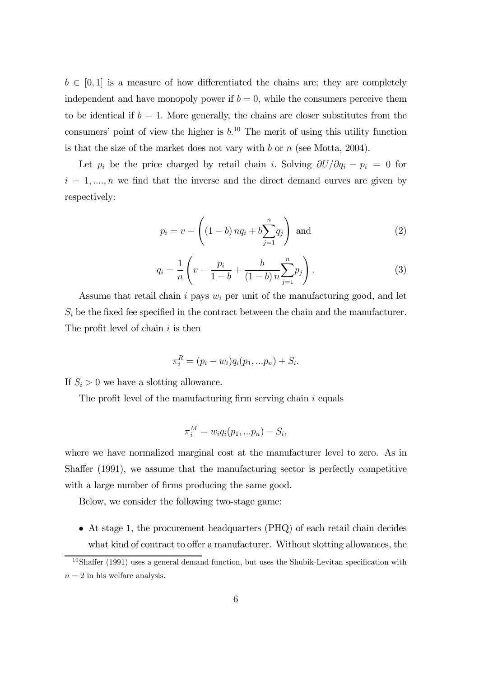$b \in [0,1]$  is a measure of how differentiated the chains are; they are completely independent and have monopoly power if  $b = 0$ , while the consumers perceive them to be identical if  $b = 1$ . More generally, the chains are closer substitutes from the consumers' point of view the higher is  $b<sup>10</sup>$ . The merit of using this utility function is that the size of the market does not vary with  $b$  or  $n$  (see Motta, 2004).

Let  $p_i$  be the price charged by retail chain i. Solving  $\partial U/\partial q_i - p_i = 0$  for  $i = 1, \ldots, n$  we find that the inverse and the direct demand curves are given by respectively:

$$
p_i = v - \left( (1 - b) n q_i + b \sum_{j=1}^{n} q_j \right)
$$
 and (2)

$$
q_i = \frac{1}{n} \left( v - \frac{p_i}{1 - b} + \frac{b}{(1 - b)n} \sum_{j=1}^n p_j \right). \tag{3}
$$

Assume that retail chain i pays  $w_i$  per unit of the manufacturing good, and let  $S_i$  be the fixed fee specified in the contract between the chain and the manufacturer. The profit level of chain  $i$  is then

$$
\pi_i^R = (p_i - w_i)q_i(p_1, ... p_n) + S_i.
$$

If  $S_i > 0$  we have a slotting allowance.

The profit level of the manufacturing firm serving chain  $i$  equals

$$
\pi_i^M = w_i q_i(p_1, \ldots p_n) - S_i,
$$

where we have normalized marginal cost at the manufacturer level to zero. As in Shaffer (1991), we assume that the manufacturing sector is perfectly competitive with a large number of firms producing the same good.

Below, we consider the following two-stage game:

• At stage 1, the procurement headquarters (PHQ) of each retail chain decides what kind of contract to offer a manufacturer. Without slotting allowances, the

 $10\,\text{Shaffer}$  (1991) uses a general demand function, but uses the Shubik-Levitan specification with  $n = 2$  in his welfare analysis.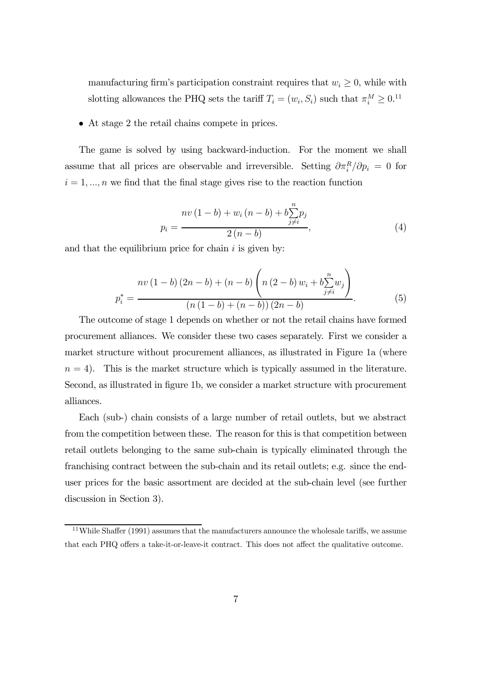manufacturing firm's participation constraint requires that  $w_i \geq 0$ , while with slotting allowances the PHQ sets the tariff  $T_i = (w_i, S_i)$  such that  $\pi_i^M \geq 0.11$ 

• At stage 2 the retail chains compete in prices.

The game is solved by using backward-induction. For the moment we shall assume that all prices are observable and irreversible. Setting  $\partial \pi_i^R / \partial p_i = 0$  for  $i = 1, \ldots, n$  we find that the final stage gives rise to the reaction function

$$
p_i = \frac{nv(1-b) + w_i(n-b) + b\sum_{j \neq i}^{n} p_j}{2(n-b)},
$$
\n(4)

and that the equilibrium price for chain  $i$  is given by:

$$
p_i^* = \frac{nv(1-b)(2n-b) + (n-b)\left(n(2-b)w_i + b\sum_{j\neq i}^n w_j\right)}{(n(1-b) + (n-b))(2n-b)}.
$$
 (5)

The outcome of stage 1 depends on whether or not the retail chains have formed procurement alliances. We consider these two cases separately. First we consider a market structure without procurement alliances, as illustrated in Figure 1a (where  $n = 4$ ). This is the market structure which is typically assumed in the literature. Second, as illustrated in figure 1b, we consider a market structure with procurement alliances.

Each (sub-) chain consists of a large number of retail outlets, but we abstract from the competition between these. The reason for this is that competition between retail outlets belonging to the same sub-chain is typically eliminated through the franchising contract between the sub-chain and its retail outlets; e.g. since the enduser prices for the basic assortment are decided at the sub-chain level (see further discussion in Section 3).

 $11$ While Shaffer (1991) assumes that the manufacturers announce the wholesale tariffs, we assume that each PHQ offers a take-it-or-leave-it contract. This does not affect the qualitative outcome.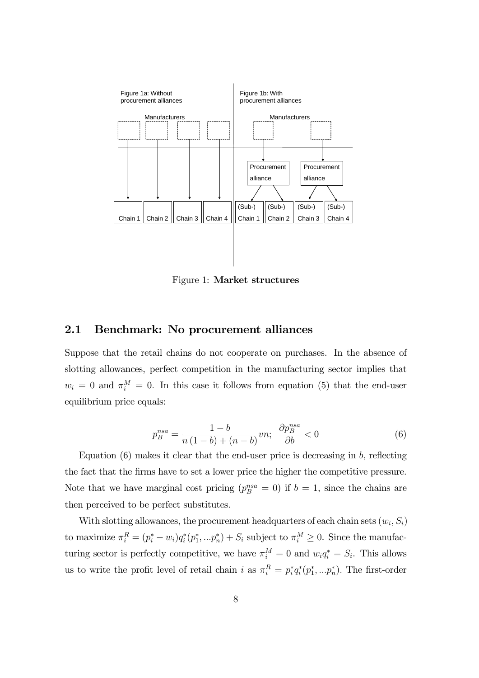

Figure 1: Market structures

### 2.1 Benchmark: No procurement alliances

Suppose that the retail chains do not cooperate on purchases. In the absence of slotting allowances, perfect competition in the manufacturing sector implies that  $w_i = 0$  and  $\pi_i^M = 0$ . In this case it follows from equation (5) that the end-user equilibrium price equals:

$$
p_B^{nsa} = \frac{1-b}{n(1-b)+(n-b)}vn; \quad \frac{\partial p_B^{nsa}}{\partial b} < 0 \tag{6}
$$

Equation  $(6)$  makes it clear that the end-user price is decreasing in b, reflecting the fact that the firms have to set a lower price the higher the competitive pressure. Note that we have marginal cost pricing  $(p_B^{nsa} = 0)$  if  $b = 1$ , since the chains are then perceived to be perfect substitutes.

With slotting allowances, the procurement headquarters of each chain sets  $(w_i, S_i)$ to maximize  $\pi_i^R = (p_i^* - w_i)q_i^*(p_1^*, \dots p_n^*) + S_i$  subject to  $\pi_i^M \geq 0$ . Since the manufacturing sector is perfectly competitive, we have  $\pi_i^M = 0$  and  $w_i q_i^* = S_i$ . This allows us to write the profit level of retail chain i as  $\pi_i^R = p_i^* q_i^* (p_1^*, \ldots, p_n^*)$ . The first-order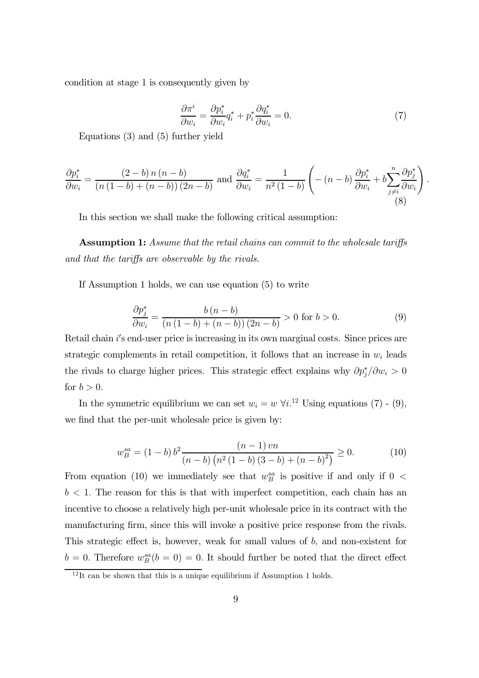condition at stage 1 is consequently given by

$$
\frac{\partial \pi^i}{\partial w_i} = \frac{\partial p_i^*}{\partial w_i} q_i^* + p_i^* \frac{\partial q_i^*}{\partial w_i} = 0.
$$
\n(7)

.

Equations (3) and (5) further yield

$$
\frac{\partial p_i^*}{\partial w_i} = \frac{(2-b)n(n-b)}{(n(1-b)+(n-b))(2n-b)} \text{ and } \frac{\partial q_i^*}{\partial w_i} = \frac{1}{n^2(1-b)} \left( -(n-b) \frac{\partial p_i^*}{\partial w_i} + b \sum_{\substack{j \neq i}}^n \frac{\partial p_j^*}{\partial w_i} \right)
$$
\n(8)

In this section we shall make the following critical assumption:

Assumption 1: Assume that the retail chains can commit to the wholesale tariffs and that the tariffs are observable by the rivals.

If Assumption 1 holds, we can use equation (5) to write

$$
\frac{\partial p_j^*}{\partial w_i} = \frac{b(n-b)}{(n(1-b) + (n-b))(2n-b)} > 0 \text{ for } b > 0.
$$
\n(9)

Retail chain i's end-user price is increasing in its own marginal costs. Since prices are strategic complements in retail competition, it follows that an increase in  $w_i$  leads the rivals to charge higher prices. This strategic effect explains why  $\partial p_j^* / \partial w_i > 0$ for  $b > 0$ .

In the symmetric equilibrium we can set  $w_i = w \; \forall i$ .<sup>12</sup> Using equations (7) - (9), we find that the per-unit wholesale price is given by:

$$
w_B^{sa} = (1 - b) b^2 \frac{(n - 1)vn}{(n - b) (n^2 (1 - b) (3 - b) + (n - b)^2)} \ge 0.
$$
 (10)

From equation (10) we immediately see that  $w_B^{sa}$  is positive if and only if 0 <  $b < 1$ . The reason for this is that with imperfect competition, each chain has an incentive to choose a relatively high per-unit wholesale price in its contract with the manufacturing firm, since this will invoke a positive price response from the rivals. This strategic effect is, however, weak for small values of b, and non-existent for  $b = 0$ . Therefore  $w_B^{sa}(b = 0) = 0$ . It should further be noted that the direct effect

 $12$ It can be shown that this is a unique equilibrium if Assumption 1 holds.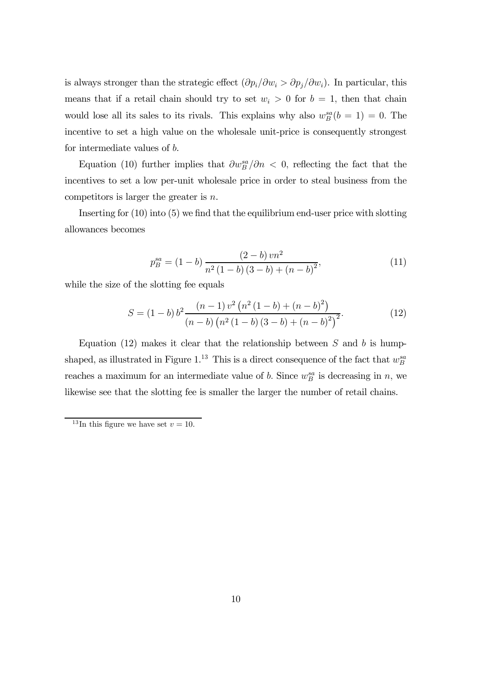is always stronger than the strategic effect  $(\partial p_i/\partial w_i > \partial p_j/\partial w_i)$ . In particular, this means that if a retail chain should try to set  $w_i > 0$  for  $b = 1$ , then that chain would lose all its sales to its rivals. This explains why also  $w_B^{sa}(b=1) = 0$ . The incentive to set a high value on the wholesale unit-price is consequently strongest for intermediate values of b.

Equation (10) further implies that  $\partial w_B^{sa}/\partial n \langle 0 \rangle$ , reflecting the fact that the incentives to set a low per-unit wholesale price in order to steal business from the competitors is larger the greater is n.

Inserting for (10) into (5) we find that the equilibrium end-user price with slotting allowances becomes

$$
p_B^{sa} = (1 - b) \frac{(2 - b)vn^2}{n^2 (1 - b) (3 - b) + (n - b)^2},
$$
\n(11)

while the size of the slotting fee equals

$$
S = (1 - b) b2 \frac{(n - 1) v2 (n2 (1 - b) + (n - b)2)}{(n - b) (n2 (1 - b) (3 - b) + (n - b)2)2}.
$$
 (12)

Equation (12) makes it clear that the relationship between  $S$  and  $b$  is humpshaped, as illustrated in Figure 1.<sup>13</sup> This is a direct consequence of the fact that  $w_B^{sa}$ reaches a maximum for an intermediate value of b. Since  $w_B^{sa}$  is decreasing in n, we likewise see that the slotting fee is smaller the larger the number of retail chains.

<sup>&</sup>lt;sup>13</sup>In this figure we have set  $v = 10$ .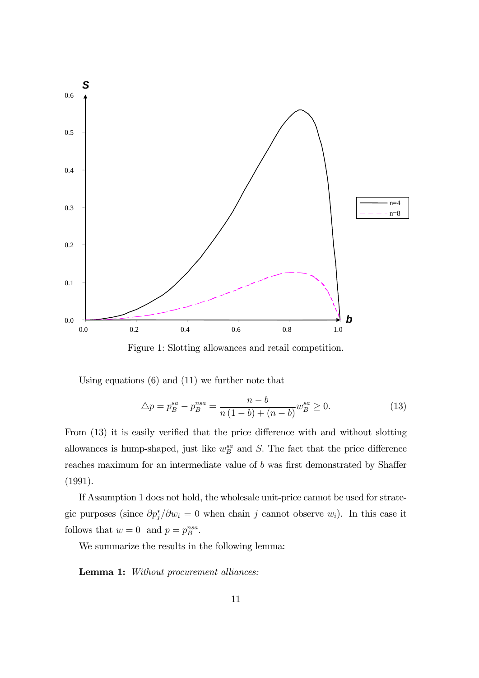

Figure 1: Slotting allowances and retail competition.

Using equations (6) and (11) we further note that

$$
\Delta p = p_B^{sa} - p_B^{nsa} = \frac{n - b}{n(1 - b) + (n - b)} w_B^{sa} \ge 0.
$$
\n(13)

From (13) it is easily verified that the price difference with and without slotting allowances is hump-shaped, just like  $w_B^{sa}$  and S. The fact that the price difference reaches maximum for an intermediate value of b was first demonstrated by Shaffer (1991).

If Assumption 1 does not hold, the wholesale unit-price cannot be used for strategic purposes (since  $\partial p_j^* / \partial w_i = 0$  when chain j cannot observe  $w_i$ ). In this case it follows that  $w = 0$  and  $p = p_B^{nsa}$ .

We summarize the results in the following lemma:

Lemma 1: Without procurement alliances: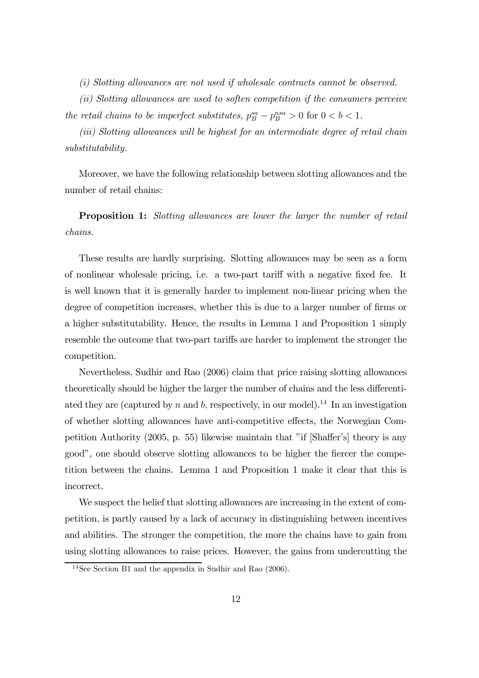(i) Slotting allowances are not used if wholesale contracts cannot be observed.

(ii) Slotting allowances are used to soften competition if the consumers perceive the retail chains to be imperfect substitutes,  $p_B^{sa} - p_B^{nsa} > 0$  for  $0 < b < 1$ .

(iii) Slotting allowances will be highest for an intermediate degree of retail chain substitutability.

Moreover, we have the following relationship between slotting allowances and the number of retail chains:

Proposition 1: Slotting allowances are lower the larger the number of retail chains.

These results are hardly surprising. Slotting allowances may be seen as a form of nonlinear wholesale pricing, i.e. a two-part tariff with a negative fixed fee. It is well known that it is generally harder to implement non-linear pricing when the degree of competition increases, whether this is due to a larger number of firms or a higher substitutability. Hence, the results in Lemma 1 and Proposition 1 simply resemble the outcome that two-part tariffs are harder to implement the stronger the competition.

Nevertheless, Sudhir and Rao (2006) claim that price raising slotting allowances theoretically should be higher the larger the number of chains and the less differentiated they are (captured by n and b, respectively, in our model).<sup>14</sup> In an investigation of whether slotting allowances have anti-competitive effects, the Norwegian Competition Authority (2005, p. 55) likewise maintain that "if [Shaffer's] theory is any good", one should observe slotting allowances to be higher the fiercer the competition between the chains. Lemma 1 and Proposition 1 make it clear that this is incorrect.

We suspect the belief that slotting allowances are increasing in the extent of competition, is partly caused by a lack of accuracy in distinguishing between incentives and abilities. The stronger the competition, the more the chains have to gain from using slotting allowances to raise prices. However, the gains from undercutting the

<sup>&</sup>lt;sup>14</sup>See Section B1 and the appendix in Sudhir and Rao  $(2006)$ .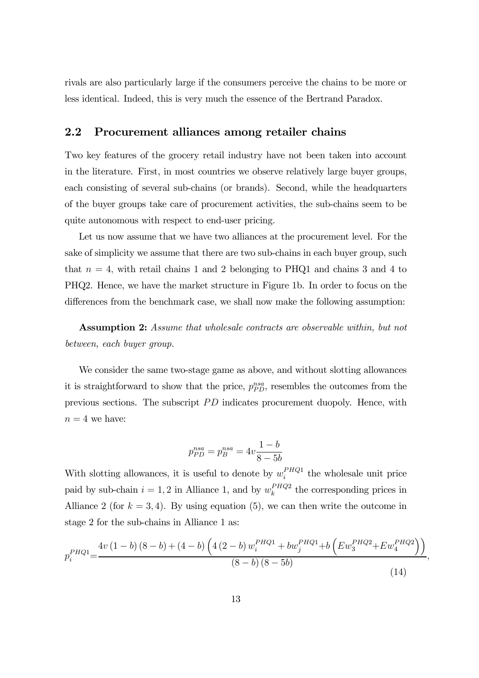rivals are also particularly large if the consumers perceive the chains to be more or less identical. Indeed, this is very much the essence of the Bertrand Paradox.

### 2.2 Procurement alliances among retailer chains

Two key features of the grocery retail industry have not been taken into account in the literature. First, in most countries we observe relatively large buyer groups, each consisting of several sub-chains (or brands). Second, while the headquarters of the buyer groups take care of procurement activities, the sub-chains seem to be quite autonomous with respect to end-user pricing.

Let us now assume that we have two alliances at the procurement level. For the sake of simplicity we assume that there are two sub-chains in each buyer group, such that  $n = 4$ , with retail chains 1 and 2 belonging to PHQ1 and chains 3 and 4 to PHQ2. Hence, we have the market structure in Figure 1b. In order to focus on the differences from the benchmark case, we shall now make the following assumption:

Assumption 2: Assume that wholesale contracts are observable within, but not between, each buyer group.

We consider the same two-stage game as above, and without slotting allowances it is straightforward to show that the price,  $p_{PD}^{nsa}$ , resembles the outcomes from the previous sections. The subscript PD indicates procurement duopoly. Hence, with  $n = 4$  we have:

$$
p_{PD}^{nsa} = p_B^{nsa} = 4v \frac{1-b}{8-5b}
$$

With slotting allowances, it is useful to denote by  $w_i^{PHQ1}$  the wholesale unit price paid by sub-chain  $i = 1, 2$  in Alliance 1, and by  $w_k^{PHQ2}$  the corresponding prices in Alliance 2 (for  $k = 3, 4$ ). By using equation (5), we can then write the outcome in stage 2 for the sub-chains in Alliance 1 as:

$$
p_i^{PHQ1} = \frac{4v(1-b)(8-b) + (4-b)\left(4(2-b)w_i^{PHQ1} + bw_j^{PHQ1} + b\left( Ew_3^{PHQ2} + Ew_4^{PHQ2} \right) \right)}{(8-b)(8-b)}
$$
\n(14)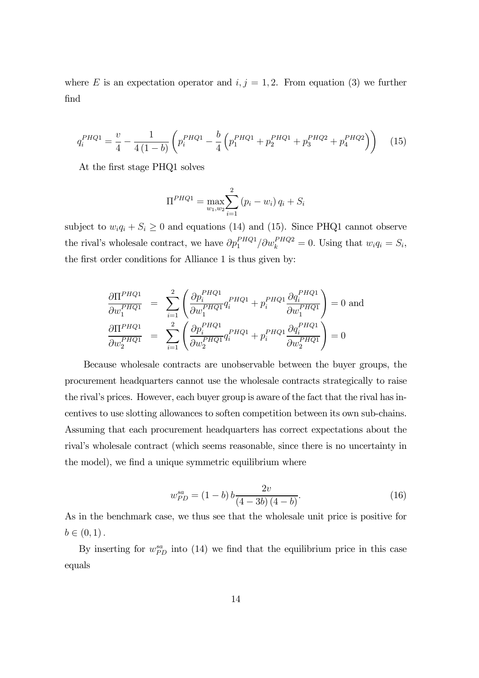where E is an expectation operator and  $i, j = 1, 2$ . From equation (3) we further find

$$
q_i^{PHQ1} = \frac{v}{4} - \frac{1}{4(1-b)} \left( p_i^{PHQ1} - \frac{b}{4} \left( p_1^{PHQ1} + p_2^{PHQ1} + p_3^{PHQ2} + p_4^{PHQ2} \right) \right) \tag{15}
$$

At the first stage PHQ1 solves

$$
\Pi^{PHQ1} = \max_{w_1, w_2} \sum_{i=1}^{2} (p_i - w_i) q_i + S_i
$$

subject to  $w_i q_i + S_i \geq 0$  and equations (14) and (15). Since PHQ1 cannot observe the rival's wholesale contract, we have  $\partial p_1^{PHQ1}/\partial w_k^{PHQ2} = 0$ . Using that  $w_i q_i = S_i$ , the first order conditions for Alliance 1 is thus given by:

$$
\frac{\partial \Pi^{PHQ1}}{\partial w_1^{PHQ1}} = \sum_{i=1}^2 \left( \frac{\partial p_i^{PHQ1}}{\partial w_1^{PHQ1}} q_i^{PHQ1} + p_i^{PHQ1} \frac{\partial q_i^{PHQ1}}{\partial w_1^{PHQ1}} \right) = 0 \text{ and}
$$
\n
$$
\frac{\partial \Pi^{PHQ1}}{\partial w_2^{PHQ1}} = \sum_{i=1}^2 \left( \frac{\partial p_i^{PHQ1}}{\partial w_2^{PHQ1}} q_i^{PHQ1} + p_i^{PHQ1} \frac{\partial q_i^{PHQ1}}{\partial w_2^{PHQ1}} \right) = 0
$$

Because wholesale contracts are unobservable between the buyer groups, the procurement headquarters cannot use the wholesale contracts strategically to raise the rival's prices. However, each buyer group is aware of the fact that the rival has incentives to use slotting allowances to soften competition between its own sub-chains. Assuming that each procurement headquarters has correct expectations about the rival's wholesale contract (which seems reasonable, since there is no uncertainty in the model), we find a unique symmetric equilibrium where

$$
w_{PD}^{sa} = (1 - b) b \frac{2v}{(4 - 3b)(4 - b)}.
$$
\n(16)

As in the benchmark case, we thus see that the wholesale unit price is positive for  $b \in (0, 1)$ .

By inserting for  $w_{PD}^{sa}$  into (14) we find that the equilibrium price in this case equals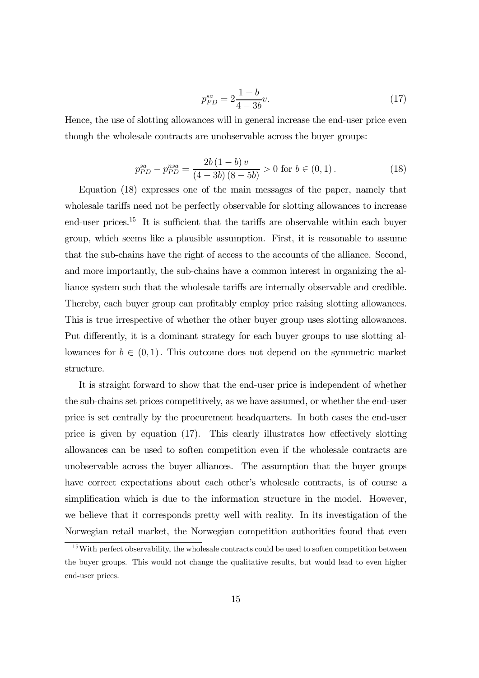$$
p_{PD}^{sa} = 2\frac{1-b}{4-3b}v.\tag{17}
$$

Hence, the use of slotting allowances will in general increase the end-user price even though the wholesale contracts are unobservable across the buyer groups:

$$
p_{PD}^{sa} - p_{PD}^{nsa} = \frac{2b(1-b)v}{(4-3b)(8-5b)} > 0 \text{ for } b \in (0,1).
$$
 (18)

Equation (18) expresses one of the main messages of the paper, namely that wholesale tariffs need not be perfectly observable for slotting allowances to increase end-user prices.15 It is sufficient that the tariffs are observable within each buyer group, which seems like a plausible assumption. First, it is reasonable to assume that the sub-chains have the right of access to the accounts of the alliance. Second, and more importantly, the sub-chains have a common interest in organizing the alliance system such that the wholesale tariffs are internally observable and credible. Thereby, each buyer group can profitably employ price raising slotting allowances. This is true irrespective of whether the other buyer group uses slotting allowances. Put differently, it is a dominant strategy for each buyer groups to use slotting allowances for  $b \in (0,1)$ . This outcome does not depend on the symmetric market structure.

It is straight forward to show that the end-user price is independent of whether the sub-chains set prices competitively, as we have assumed, or whether the end-user price is set centrally by the procurement headquarters. In both cases the end-user price is given by equation (17). This clearly illustrates how effectively slotting allowances can be used to soften competition even if the wholesale contracts are unobservable across the buyer alliances. The assumption that the buyer groups have correct expectations about each other's wholesale contracts, is of course a simplification which is due to the information structure in the model. However, we believe that it corresponds pretty well with reality. In its investigation of the Norwegian retail market, the Norwegian competition authorities found that even

<sup>&</sup>lt;sup>15</sup>With perfect observability, the wholesale contracts could be used to soften competition between the buyer groups. This would not change the qualitative results, but would lead to even higher end-user prices.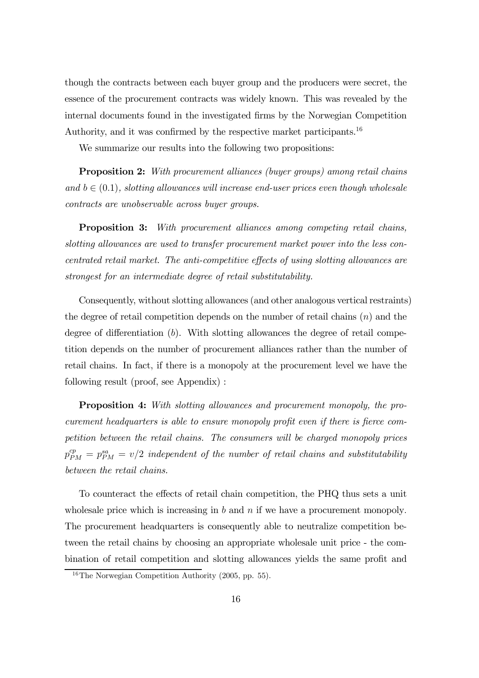though the contracts between each buyer group and the producers were secret, the essence of the procurement contracts was widely known. This was revealed by the internal documents found in the investigated firms by the Norwegian Competition Authority, and it was confirmed by the respective market participants.16

We summarize our results into the following two propositions:

**Proposition 2:** With procurement alliances (buyer groups) among retail chains and  $b \in (0,1)$ , slotting allowances will increase end-user prices even though wholesale contracts are unobservable across buyer groups.

Proposition 3: With procurement alliances among competing retail chains, slotting allowances are used to transfer procurement market power into the less concentrated retail market. The anti-competitive effects of using slotting allowances are strongest for an intermediate degree of retail substitutability.

Consequently, without slotting allowances (and other analogous vertical restraints) the degree of retail competition depends on the number of retail chains  $(n)$  and the degree of differentiation  $(b)$ . With slotting allowances the degree of retail competition depends on the number of procurement alliances rather than the number of retail chains. In fact, if there is a monopoly at the procurement level we have the following result (proof, see Appendix) :

Proposition 4: With slotting allowances and procurement monopoly, the procurement headquarters is able to ensure monopoly profit even if there is fierce competition between the retail chains. The consumers will be charged monopoly prices  $p_{PM}^{cp} = p_{PM}^{sa} = v/2$  independent of the number of retail chains and substitutability between the retail chains.

To counteract the effects of retail chain competition, the PHQ thus sets a unit wholesale price which is increasing in b and n if we have a procurement monopoly. The procurement headquarters is consequently able to neutralize competition between the retail chains by choosing an appropriate wholesale unit price - the combination of retail competition and slotting allowances yields the same profit and

<sup>16</sup>The Norwegian Competition Authority (2005, pp. 55).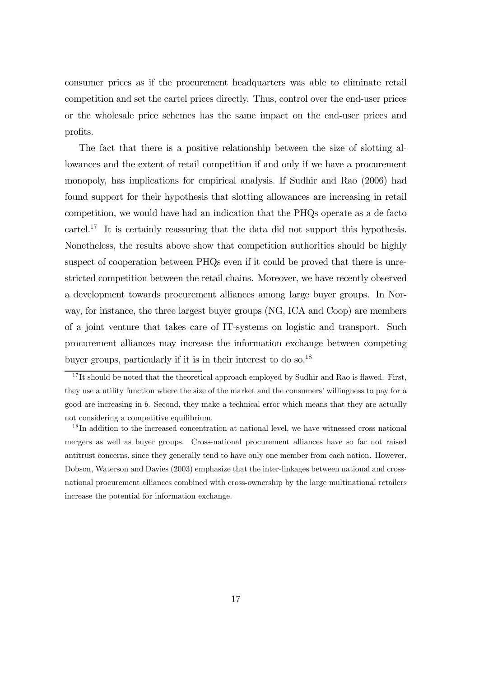consumer prices as if the procurement headquarters was able to eliminate retail competition and set the cartel prices directly. Thus, control over the end-user prices or the wholesale price schemes has the same impact on the end-user prices and profits.

The fact that there is a positive relationship between the size of slotting allowances and the extent of retail competition if and only if we have a procurement monopoly, has implications for empirical analysis. If Sudhir and Rao (2006) had found support for their hypothesis that slotting allowances are increasing in retail competition, we would have had an indication that the PHQs operate as a de facto cartel.<sup>17</sup> It is certainly reassuring that the data did not support this hypothesis. Nonetheless, the results above show that competition authorities should be highly suspect of cooperation between PHQs even if it could be proved that there is unrestricted competition between the retail chains. Moreover, we have recently observed a development towards procurement alliances among large buyer groups. In Norway, for instance, the three largest buyer groups (NG, ICA and Coop) are members of a joint venture that takes care of IT-systems on logistic and transport. Such procurement alliances may increase the information exchange between competing buyer groups, particularly if it is in their interest to do so.18

 $17$  It should be noted that the theoretical approach employed by Sudhir and Rao is flawed. First, they use a utility function where the size of the market and the consumers' willingness to pay for a good are increasing in b. Second, they make a technical error which means that they are actually not considering a competitive equilibrium.

<sup>&</sup>lt;sup>18</sup>In addition to the increased concentration at national level, we have witnessed cross national mergers as well as buyer groups. Cross-national procurement alliances have so far not raised antitrust concerns, since they generally tend to have only one member from each nation. However, Dobson, Waterson and Davies (2003) emphasize that the inter-linkages between national and crossnational procurement alliances combined with cross-ownership by the large multinational retailers increase the potential for information exchange.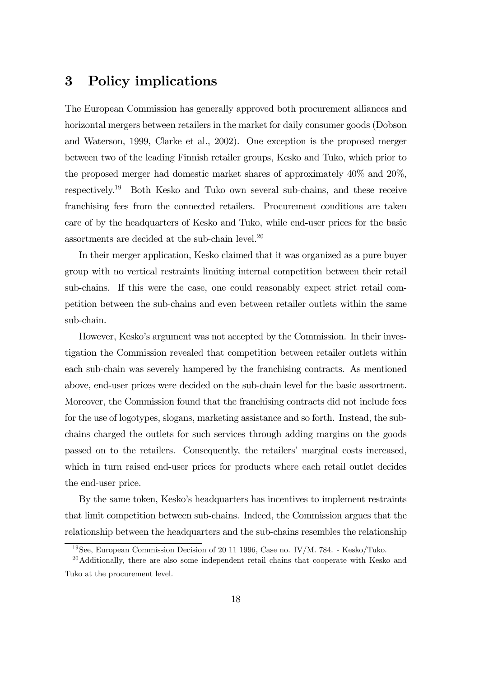## 3 Policy implications

The European Commission has generally approved both procurement alliances and horizontal mergers between retailers in the market for daily consumer goods (Dobson and Waterson, 1999, Clarke et al., 2002). One exception is the proposed merger between two of the leading Finnish retailer groups, Kesko and Tuko, which prior to the proposed merger had domestic market shares of approximately 40% and 20%, respectively.19 Both Kesko and Tuko own several sub-chains, and these receive franchising fees from the connected retailers. Procurement conditions are taken care of by the headquarters of Kesko and Tuko, while end-user prices for the basic assortments are decided at the sub-chain level. $^{20}$ 

In their merger application, Kesko claimed that it was organized as a pure buyer group with no vertical restraints limiting internal competition between their retail sub-chains. If this were the case, one could reasonably expect strict retail competition between the sub-chains and even between retailer outlets within the same sub-chain.

However, Kesko's argument was not accepted by the Commission. In their investigation the Commission revealed that competition between retailer outlets within each sub-chain was severely hampered by the franchising contracts. As mentioned above, end-user prices were decided on the sub-chain level for the basic assortment. Moreover, the Commission found that the franchising contracts did not include fees for the use of logotypes, slogans, marketing assistance and so forth. Instead, the subchains charged the outlets for such services through adding margins on the goods passed on to the retailers. Consequently, the retailers' marginal costs increased, which in turn raised end-user prices for products where each retail outlet decides the end-user price.

By the same token, Kesko's headquarters has incentives to implement restraints that limit competition between sub-chains. Indeed, the Commission argues that the relationship between the headquarters and the sub-chains resembles the relationship

<sup>19</sup>See, European Commission Decision of 20 11 1996, Case no. IV/M. 784. - Kesko/Tuko.

 $20$ Additionally, there are also some independent retail chains that cooperate with Kesko and Tuko at the procurement level.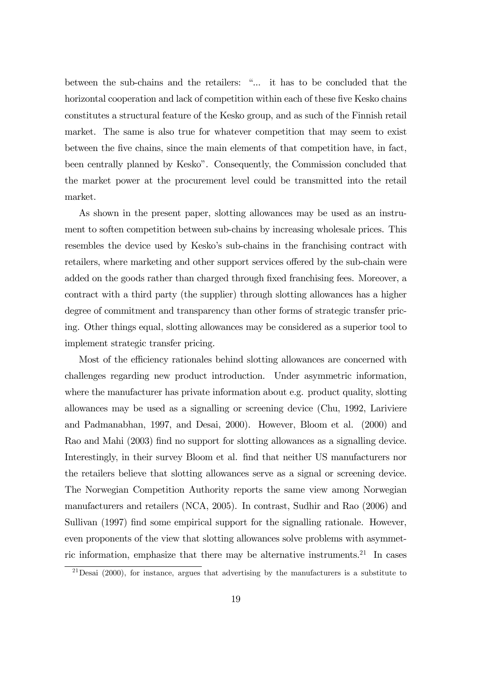between the sub-chains and the retailers: "... it has to be concluded that the horizontal cooperation and lack of competition within each of these five Kesko chains constitutes a structural feature of the Kesko group, and as such of the Finnish retail market. The same is also true for whatever competition that may seem to exist between the five chains, since the main elements of that competition have, in fact, been centrally planned by Kesko". Consequently, the Commission concluded that the market power at the procurement level could be transmitted into the retail market.

As shown in the present paper, slotting allowances may be used as an instrument to soften competition between sub-chains by increasing wholesale prices. This resembles the device used by Kesko's sub-chains in the franchising contract with retailers, where marketing and other support services offered by the sub-chain were added on the goods rather than charged through fixed franchising fees. Moreover, a contract with a third party (the supplier) through slotting allowances has a higher degree of commitment and transparency than other forms of strategic transfer pricing. Other things equal, slotting allowances may be considered as a superior tool to implement strategic transfer pricing.

Most of the efficiency rationales behind slotting allowances are concerned with challenges regarding new product introduction. Under asymmetric information, where the manufacturer has private information about e.g. product quality, slotting allowances may be used as a signalling or screening device (Chu, 1992, Lariviere and Padmanabhan, 1997, and Desai, 2000). However, Bloom et al. (2000) and Rao and Mahi (2003) find no support for slotting allowances as a signalling device. Interestingly, in their survey Bloom et al. find that neither US manufacturers nor the retailers believe that slotting allowances serve as a signal or screening device. The Norwegian Competition Authority reports the same view among Norwegian manufacturers and retailers (NCA, 2005). In contrast, Sudhir and Rao (2006) and Sullivan (1997) find some empirical support for the signalling rationale. However, even proponents of the view that slotting allowances solve problems with asymmetric information, emphasize that there may be alternative instruments.<sup>21</sup> In cases

 $^{21}$ Desai (2000), for instance, argues that advertising by the manufacturers is a substitute to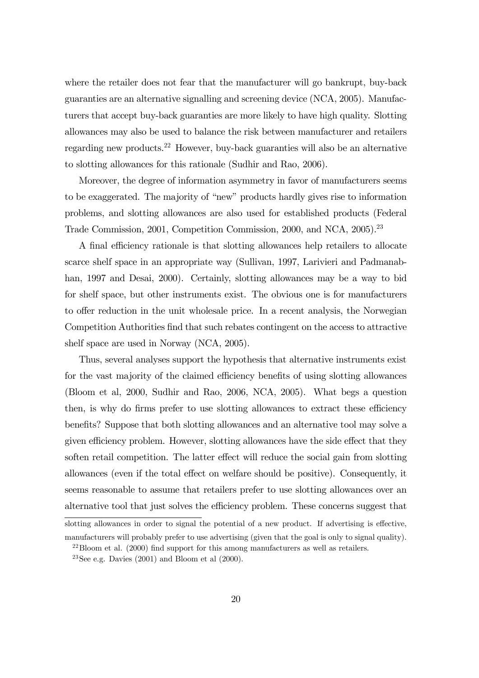where the retailer does not fear that the manufacturer will go bankrupt, buy-back guaranties are an alternative signalling and screening device (NCA, 2005). Manufacturers that accept buy-back guaranties are more likely to have high quality. Slotting allowances may also be used to balance the risk between manufacturer and retailers regarding new products.22 However, buy-back guaranties will also be an alternative to slotting allowances for this rationale (Sudhir and Rao, 2006).

Moreover, the degree of information asymmetry in favor of manufacturers seems to be exaggerated. The majority of "new" products hardly gives rise to information problems, and slotting allowances are also used for established products (Federal Trade Commission, 2001, Competition Commission, 2000, and NCA, 2005).<sup>23</sup>

A final efficiency rationale is that slotting allowances help retailers to allocate scarce shelf space in an appropriate way (Sullivan, 1997, Larivieri and Padmanabhan, 1997 and Desai, 2000). Certainly, slotting allowances may be a way to bid for shelf space, but other instruments exist. The obvious one is for manufacturers to offer reduction in the unit wholesale price. In a recent analysis, the Norwegian Competition Authorities find that such rebates contingent on the access to attractive shelf space are used in Norway (NCA, 2005).

Thus, several analyses support the hypothesis that alternative instruments exist for the vast majority of the claimed efficiency benefits of using slotting allowances (Bloom et al, 2000, Sudhir and Rao, 2006, NCA, 2005). What begs a question then, is why do firms prefer to use slotting allowances to extract these efficiency benefits? Suppose that both slotting allowances and an alternative tool may solve a given efficiency problem. However, slotting allowances have the side effect that they soften retail competition. The latter effect will reduce the social gain from slotting allowances (even if the total effect on welfare should be positive). Consequently, it seems reasonable to assume that retailers prefer to use slotting allowances over an alternative tool that just solves the efficiency problem. These concerns suggest that

slotting allowances in order to signal the potential of a new product. If advertising is effective, manufacturers will probably prefer to use advertising (given that the goal is only to signal quality).

<sup>&</sup>lt;sup>22</sup>Bloom et al. (2000) find support for this among manufacturers as well as retailers.

<sup>&</sup>lt;sup>23</sup>See e.g. Davies  $(2001)$  and Bloom et al  $(2000)$ .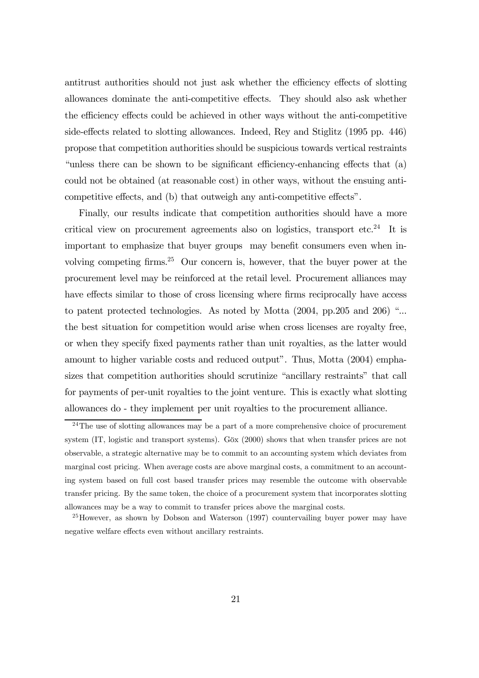antitrust authorities should not just ask whether the efficiency effects of slotting allowances dominate the anti-competitive effects. They should also ask whether the efficiency effects could be achieved in other ways without the anti-competitive side-effects related to slotting allowances. Indeed, Rey and Stiglitz (1995 pp. 446) propose that competition authorities should be suspicious towards vertical restraints "unless there can be shown to be significant efficiency-enhancing effects that (a) could not be obtained (at reasonable cost) in other ways, without the ensuing anticompetitive effects, and (b) that outweigh any anti-competitive effects".

Finally, our results indicate that competition authorities should have a more critical view on procurement agreements also on logistics, transport etc.<sup>24</sup> It is important to emphasize that buyer groups may benefit consumers even when involving competing firms.25 Our concern is, however, that the buyer power at the procurement level may be reinforced at the retail level. Procurement alliances may have effects similar to those of cross licensing where firms reciprocally have access to patent protected technologies. As noted by Motta (2004, pp.205 and 206) "... the best situation for competition would arise when cross licenses are royalty free, or when they specify fixed payments rather than unit royalties, as the latter would amount to higher variable costs and reduced output". Thus, Motta (2004) emphasizes that competition authorities should scrutinize "ancillary restraints" that call for payments of per-unit royalties to the joint venture. This is exactly what slotting allowances do - they implement per unit royalties to the procurement alliance.

 $24$ The use of slotting allowances may be a part of a more comprehensive choice of procurement system (IT, logistic and transport systems). Göx (2000) shows that when transfer prices are not observable, a strategic alternative may be to commit to an accounting system which deviates from marginal cost pricing. When average costs are above marginal costs, a commitment to an accounting system based on full cost based transfer prices may resemble the outcome with observable transfer pricing. By the same token, the choice of a procurement system that incorporates slotting allowances may be a way to commit to transfer prices above the marginal costs.

<sup>25</sup>However, as shown by Dobson and Waterson (1997) countervailing buyer power may have negative welfare effects even without ancillary restraints.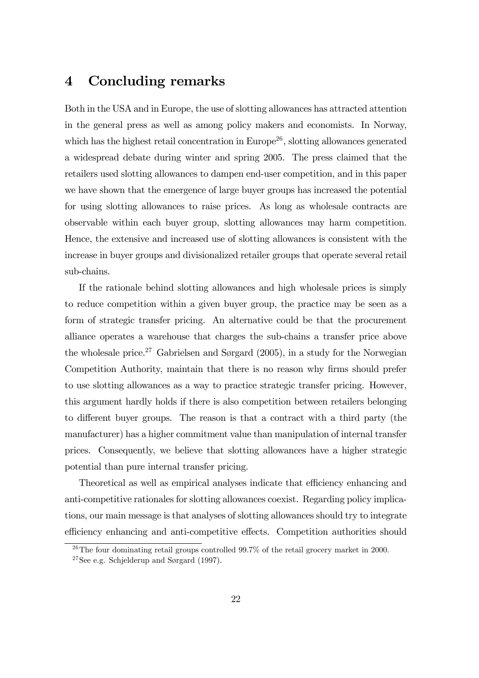## 4 Concluding remarks

Both in the USA and in Europe, the use of slotting allowances has attracted attention in the general press as well as among policy makers and economists. In Norway, which has the highest retail concentration in Europe<sup>26</sup>, slotting allowances generated a widespread debate during winter and spring 2005. The press claimed that the retailers used slotting allowances to dampen end-user competition, and in this paper we have shown that the emergence of large buyer groups has increased the potential for using slotting allowances to raise prices. As long as wholesale contracts are observable within each buyer group, slotting allowances may harm competition. Hence, the extensive and increased use of slotting allowances is consistent with the increase in buyer groups and divisionalized retailer groups that operate several retail sub-chains.

If the rationale behind slotting allowances and high wholesale prices is simply to reduce competition within a given buyer group, the practice may be seen as a form of strategic transfer pricing. An alternative could be that the procurement alliance operates a warehouse that charges the sub-chains a transfer price above the wholesale price.<sup>27</sup> Gabrielsen and Sørgard  $(2005)$ , in a study for the Norwegian Competition Authority, maintain that there is no reason why firms should prefer to use slotting allowances as a way to practice strategic transfer pricing. However, this argument hardly holds if there is also competition between retailers belonging to different buyer groups. The reason is that a contract with a third party (the manufacturer) has a higher commitment value than manipulation of internal transfer prices. Consequently, we believe that slotting allowances have a higher strategic potential than pure internal transfer pricing.

Theoretical as well as empirical analyses indicate that efficiency enhancing and anti-competitive rationales for slotting allowances coexist. Regarding policy implications, our main message is that analyses of slotting allowances should try to integrate efficiency enhancing and anti-competitive effects. Competition authorities should

<sup>&</sup>lt;sup>26</sup>The four dominating retail groups controlled  $99.7\%$  of the retail grocery market in 2000.

<sup>&</sup>lt;sup>27</sup>See e.g. Schjelderup and Sørgard  $(1997)$ .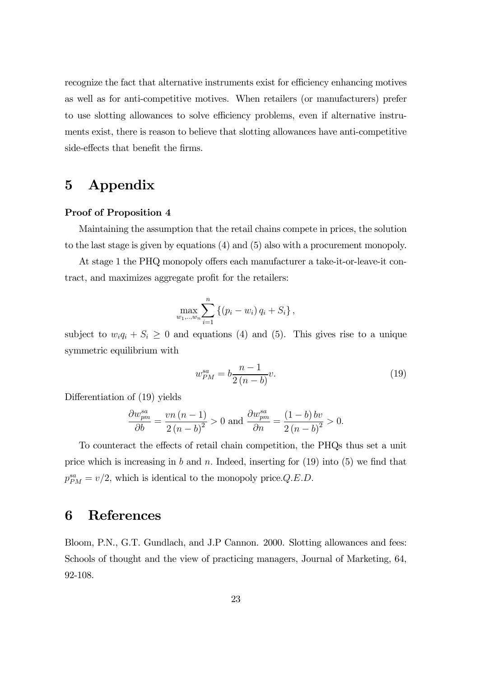recognize the fact that alternative instruments exist for efficiency enhancing motives as well as for anti-competitive motives. When retailers (or manufacturers) prefer to use slotting allowances to solve efficiency problems, even if alternative instruments exist, there is reason to believe that slotting allowances have anti-competitive side-effects that benefit the firms.

# 5 Appendix

#### Proof of Proposition 4

Maintaining the assumption that the retail chains compete in prices, the solution to the last stage is given by equations (4) and (5) also with a procurement monopoly.

At stage 1 the PHQ monopoly offers each manufacturer a take-it-or-leave-it contract, and maximizes aggregate profit for the retailers:

$$
\max_{w_1, \dots, w_n} \sum_{i=1}^n \left\{ (p_i - w_i) q_i + S_i \right\},\,
$$

subject to  $w_i q_i + S_i \geq 0$  and equations (4) and (5). This gives rise to a unique symmetric equilibrium with

$$
w_{PM}^{sa} = b \frac{n-1}{2(n-b)} v.
$$
\n(19)

Differentiation of (19) yields

$$
\frac{\partial w_{pm}^{sa}}{\partial b} = \frac{vn(n-1)}{2(n-b)^2} > 0 \text{ and } \frac{\partial w_{pm}^{sa}}{\partial n} = \frac{(1-b)bv}{2(n-b)^2} > 0.
$$

To counteract the effects of retail chain competition, the PHQs thus set a unit price which is increasing in b and n. Indeed, inserting for  $(19)$  into  $(5)$  we find that  $p_{PM}^{sa} = v/2$ , which is identical to the monopoly price. Q.E.D.

## 6 References

Bloom, P.N., G.T. Gundlach, and J.P Cannon. 2000. Slotting allowances and fees: Schools of thought and the view of practicing managers, Journal of Marketing, 64, 92-108.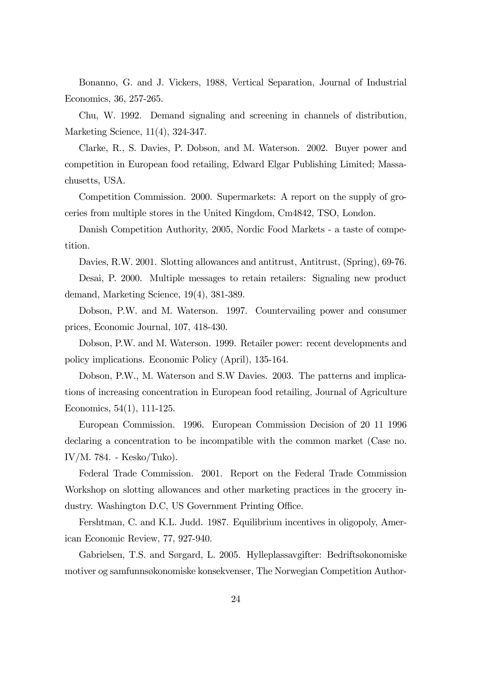Bonanno, G. and J. Vickers, 1988, Vertical Separation, Journal of Industrial Economics, 36, 257-265.

Chu, W. 1992. Demand signaling and screening in channels of distribution, Marketing Science, 11(4), 324-347.

Clarke, R., S. Davies, P. Dobson, and M. Waterson. 2002. Buyer power and competition in European food retailing, Edward Elgar Publishing Limited; Massachusetts, USA.

Competition Commission. 2000. Supermarkets: A report on the supply of groceries from multiple stores in the United Kingdom, Cm4842, TSO, London.

Danish Competition Authority, 2005, Nordic Food Markets - a taste of competition.

Davies, R.W. 2001. Slotting allowances and antitrust, Antitrust, (Spring), 69-76.

Desai, P. 2000. Multiple messages to retain retailers: Signaling new product demand, Marketing Science, 19(4), 381-389.

Dobson, P.W. and M. Waterson. 1997. Countervailing power and consumer prices, Economic Journal, 107, 418-430.

Dobson, P.W. and M. Waterson. 1999. Retailer power: recent developments and policy implications. Economic Policy (April), 135-164.

Dobson, P.W., M. Waterson and S.W Davies. 2003. The patterns and implications of increasing concentration in European food retailing, Journal of Agriculture Economics, 54(1), 111-125.

European Commission. 1996. European Commission Decision of 20 11 1996 declaring a concentration to be incompatible with the common market (Case no. IV/M. 784. - Kesko/Tuko).

Federal Trade Commission. 2001. Report on the Federal Trade Commission Workshop on slotting allowances and other marketing practices in the grocery industry. Washington D.C, US Government Printing Office.

Fershtman, C. and K.L. Judd. 1987. Equilibrium incentives in oligopoly, American Economic Review, 77, 927-940.

Gabrielsen, T.S. and Sørgard, L. 2005. Hylleplassavgifter: Bedriftsøkonomiske motiver og samfunnsøkonomiske konsekvenser, The Norwegian Competition Author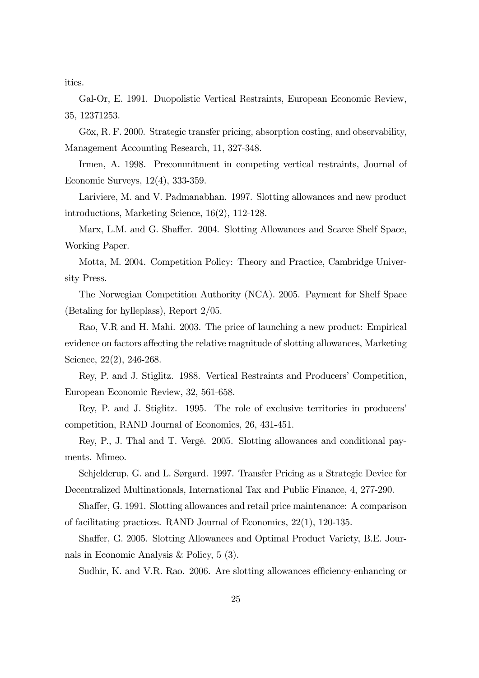ities.

Gal-Or, E. 1991. Duopolistic Vertical Restraints, European Economic Review, 35, 12371253.

Göx, R. F. 2000. Strategic transfer pricing, absorption costing, and observability, Management Accounting Research, 11, 327-348.

Irmen, A. 1998. Precommitment in competing vertical restraints, Journal of Economic Surveys, 12(4), 333-359.

Lariviere, M. and V. Padmanabhan. 1997. Slotting allowances and new product introductions, Marketing Science, 16(2), 112-128.

Marx, L.M. and G. Shaffer. 2004. Slotting Allowances and Scarce Shelf Space, Working Paper.

Motta, M. 2004. Competition Policy: Theory and Practice, Cambridge University Press.

The Norwegian Competition Authority (NCA). 2005. Payment for Shelf Space (Betaling for hylleplass), Report 2/05.

Rao, V.R and H. Mahi. 2003. The price of launching a new product: Empirical evidence on factors affecting the relative magnitude of slotting allowances, Marketing Science, 22(2), 246-268.

Rey, P. and J. Stiglitz. 1988. Vertical Restraints and Producers' Competition, European Economic Review, 32, 561-658.

Rey, P. and J. Stiglitz. 1995. The role of exclusive territories in producers' competition, RAND Journal of Economics, 26, 431-451.

Rey, P., J. Thal and T. Vergé. 2005. Slotting allowances and conditional payments. Mimeo.

Schjelderup, G. and L. Sørgard. 1997. Transfer Pricing as a Strategic Device for Decentralized Multinationals, International Tax and Public Finance, 4, 277-290.

Shaffer, G. 1991. Slotting allowances and retail price maintenance: A comparison of facilitating practices. RAND Journal of Economics, 22(1), 120-135.

Shaffer, G. 2005. Slotting Allowances and Optimal Product Variety, B.E. Journals in Economic Analysis & Policy, 5 (3).

Sudhir, K. and V.R. Rao. 2006. Are slotting allowances efficiency-enhancing or